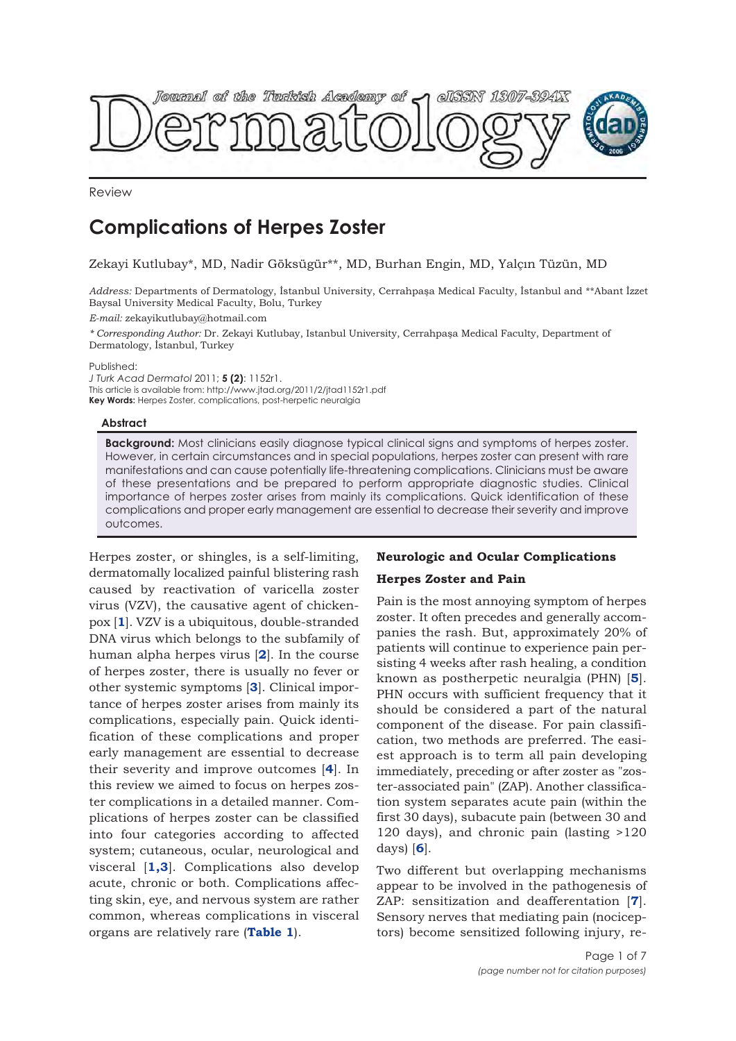

Review

# **Complications of Herpes Zoster**

Zekayi Kutlubay\*, MD, Nadir Göksügür\*\*, MD, Burhan Engin, MD, Yalçın Tüzün, MD

*Address:* Departments of Dermatology, İstanbul University, Cerrahpaşa Medical Faculty, İstanbul and \*\*Abant İzzet Baysal University Medical Faculty, Bolu, Turkey

*E-mail:* zekayikutlubay@hotmail.com

*\* Corresponding Author:* Dr. Zekayi Kutlubay, Istanbul University, Cerrahpaşa Medical Faculty, Department of Dermatology, İstanbul, Turkey

Published:

*J Turk Acad Dermatol* 2011; **5 (2)**: 1152r1. This article is available from: http://www.jtad.org/2011/2/jtad1152r1.pdf **Key Words:** Herpes Zoster, complications, post-herpetic neuralgia

# **Abstract**

**Background:** Most clinicians easily diagnose typical clinical signs and symptoms of herpes zoster. However, in certain circumstances and in special populations, herpes zoster can present with rare manifestations and can cause potentially life-threatening complications. Clinicians must be aware of these presentations and be prepared to perform appropriate diagnostic studies. Clinical importance of herpes zoster arises from mainly its complications. Quick identification of these complications and proper early management are essential to decrease their severity and improve outcomes.

Herpes zoster, or shingles, is a self-limiting, dermatomally localized painful blistering rash caused by reactivation of varicella zoster virus (VZV), the causative agent of chickenpox [**1**]. VZV is a ubiquitous, double-stranded DNA virus which belongs to the subfamily of human alpha herpes virus [**2**]. In the course of herpes zoster, there is usually no fever or other systemic symptoms [**3**]. Clinical importance of herpes zoster arises from mainly its complications, especially pain. Quick identification of these complications and proper early management are essential to decrease their severity and improve outcomes [**4**]. In this review we aimed to focus on herpes zoster complications in a detailed manner. Complications of herpes zoster can be classified into four categories according to affected system; cutaneous, ocular, neurological and visceral [**1,3**]. Complications also develop acute, chronic or both. Complications affecting skin, eye, and nervous system are rather common, whereas complications in visceral organs are relatively rare (**Table 1**).

# **Neurologic and Ocular Complications**

# **Herpes Zoster and Pain**

Pain is the most annoying symptom of herpes zoster. It often precedes and generally accompanies the rash. But, approximately 20% of patients will continue to experience pain persisting 4 weeks after rash healing, a condition known as postherpetic neuralgia (PHN) [**5**]. PHN occurs with sufficient frequency that it should be considered a part of the natural component of the disease. For pain classification, two methods are preferred. The easiest approach is to term all pain developing immediately, preceding or after zoster as "zoster-associated pain" (ZAP). Another classification system separates acute pain (within the first 30 days), subacute pain (between 30 and 120 days), and chronic pain (lasting >120 days) [**6**].

Two different but overlapping mechanisms appear to be involved in the pathogenesis of ZAP: sensitization and deafferentation [**7**]. Sensory nerves that mediating pain (nociceptors) become sensitized following injury, re-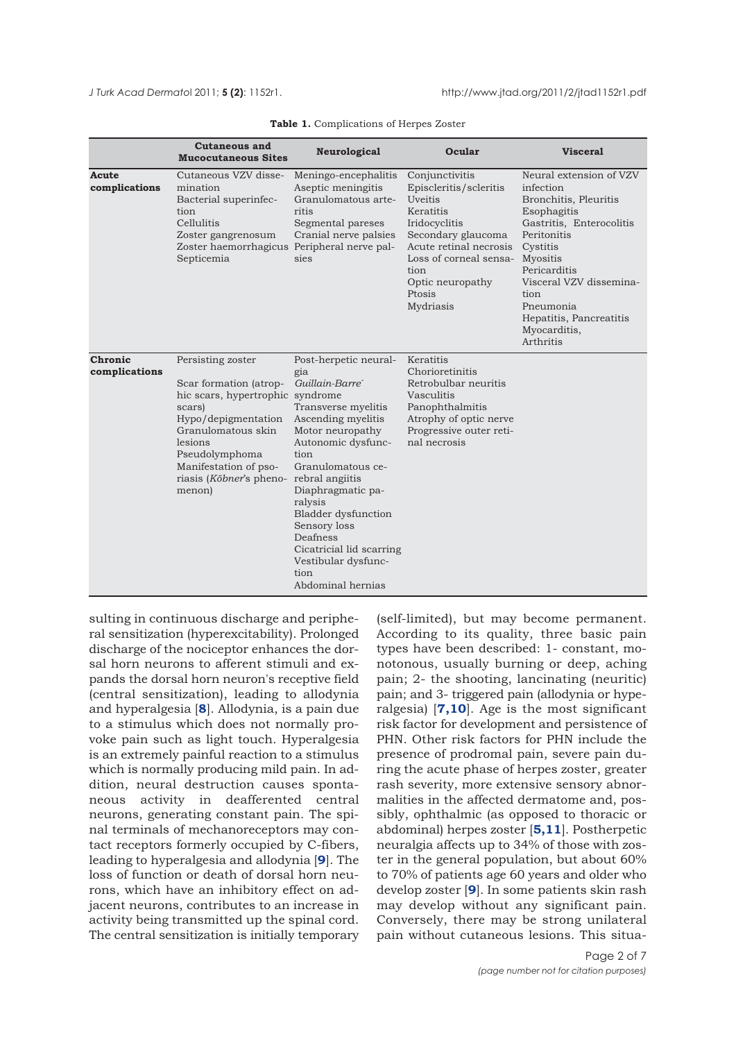|                          | <b>Cutaneous and</b><br><b>Mucocutaneous Sites</b>                                                                                                                                                                                               | <b>Neurological</b>                                                                                                                                                                                                                                                                                                                   | Ocular                                                                                                                                                                                                         | <b>Visceral</b>                                                                                                                                                                                                                                                         |
|--------------------------|--------------------------------------------------------------------------------------------------------------------------------------------------------------------------------------------------------------------------------------------------|---------------------------------------------------------------------------------------------------------------------------------------------------------------------------------------------------------------------------------------------------------------------------------------------------------------------------------------|----------------------------------------------------------------------------------------------------------------------------------------------------------------------------------------------------------------|-------------------------------------------------------------------------------------------------------------------------------------------------------------------------------------------------------------------------------------------------------------------------|
| Acute<br>complications   | Cutaneous VZV disse-<br>mination<br>Bacterial superinfec-<br>tion<br>Cellulitis<br>Zoster gangrenosum<br>Zoster haemorrhagicus Peripheral nerve pal-<br>Septicemia                                                                               | Meningo-encephalitis<br>Aseptic meningitis<br>Granulomatous arte-<br>ritis<br>Segmental pareses<br>Cranial nerve palsies<br>sies                                                                                                                                                                                                      | Conjunctivitis<br>Episcleritis/scleritis<br>Uveitis<br>Keratitis<br>Iridocyclitis<br>Secondary glaucoma<br>Acute retinal necrosis<br>Loss of corneal sensa-<br>tion<br>Optic neuropathy<br>Ptosis<br>Mydriasis | Neural extension of VZV<br>infection<br>Bronchitis, Pleuritis<br>Esophagitis<br>Gastritis, Enterocolitis<br>Peritonitis<br>Cystitis<br>Myositis<br>Pericarditis<br>Visceral VZV dissemina-<br>tion<br>Pneumonia<br>Hepatitis, Pancreatitis<br>Myocarditis,<br>Arthritis |
| Chronic<br>complications | Persisting zoster<br>Scar formation (atrop-<br>hic scars, hypertrophic syndrome<br>scars)<br>Hypo/depigmentation<br>Granulomatous skin<br>lesions<br>Pseudolymphoma<br>Manifestation of pso-<br>riasis (Köbner's pheno-rebral angiitis<br>menon) | Post-herpetic neural-<br>gia<br>Guillain-Barre<br>Transverse myelitis<br>Ascending myelitis<br>Motor neuropathy<br>Autonomic dysfunc-<br>tion<br>Granulomatous ce-<br>Diaphragmatic pa-<br>ralysis<br>Bladder dysfunction<br>Sensory loss<br>Deafness<br>Cicatricial lid scarring<br>Vestibular dysfunc-<br>tion<br>Abdominal hernias | Keratitis<br>Chorioretinitis<br>Retrobulbar neuritis<br>Vasculitis<br>Panophthalmitis<br>Atrophy of optic nerve<br>Progressive outer reti-<br>nal necrosis                                                     |                                                                                                                                                                                                                                                                         |

**Table 1.** Complications of Herpes Zoster

sulting in continuous discharge and peripheral sensitization (hyperexcitability). Prolonged discharge of the nociceptor enhances the dorsal horn neurons to afferent stimuli and expands the dorsal horn neuron's receptive field (central sensitization), leading to allodynia and hyperalgesia [**8**]. Allodynia, is a pain due to a stimulus which does not normally provoke pain such as light touch. Hyperalgesia is an extremely painful reaction to a stimulus which is normally producing mild pain. In addition, neural destruction causes spontaneous activity in deafferented central neurons, generating constant pain. The spinal terminals of mechanoreceptors may contact receptors formerly occupied by C-fibers, leading to hyperalgesia and allodynia [**9**]. The loss of function or death of dorsal horn neurons, which have an inhibitory effect on adjacent neurons, contributes to an increase in activity being transmitted up the spinal cord. The central sensitization is initially temporary

(self-limited), but may become permanent. According to its quality, three basic pain types have been described: 1- constant, monotonous, usually burning or deep, aching pain; 2- the shooting, lancinating (neuritic) pain; and 3- triggered pain (allodynia or hyperalgesia) [**7,10**]. Age is the most significant risk factor for development and persistence of PHN. Other risk factors for PHN include the presence of prodromal pain, severe pain during the acute phase of herpes zoster, greater rash severity, more extensive sensory abnormalities in the affected dermatome and, possibly, ophthalmic (as opposed to thoracic or abdominal) herpes zoster [**5,11**]. Postherpetic neuralgia affects up to 34% of those with zoster in the general population, but about 60% to 70% of patients age 60 years and older who develop zoster [**9**]. In some patients skin rash may develop without any significant pain. Conversely, there may be strong unilateral pain without cutaneous lesions. This situa-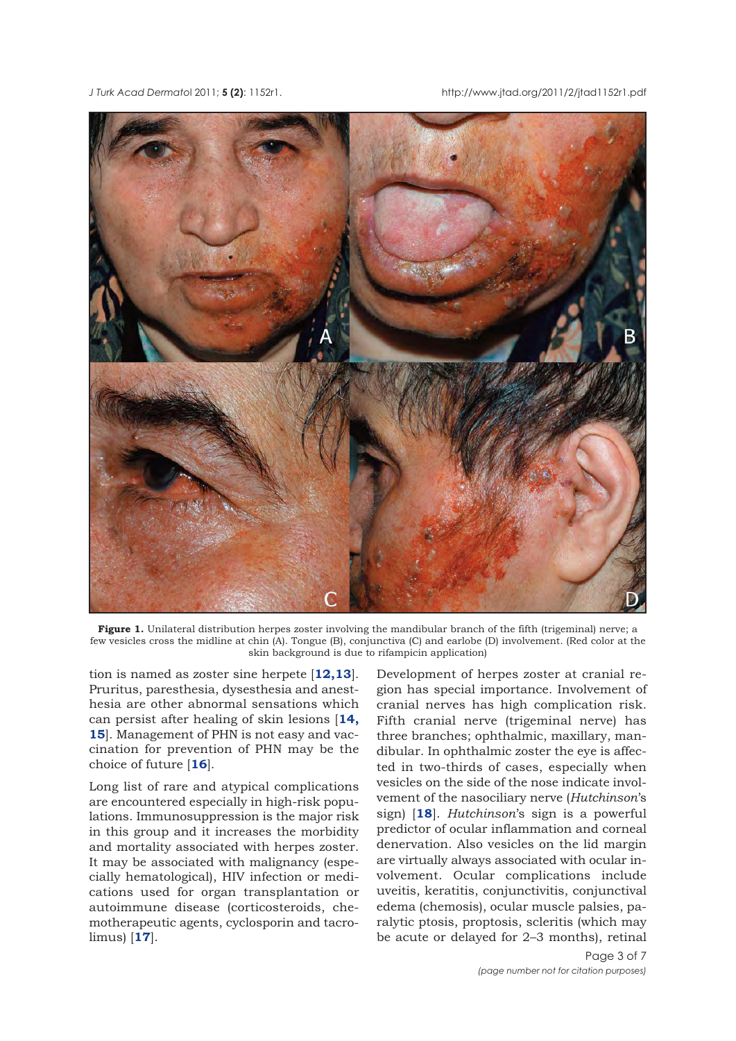*J Turk Acad Dermato*l 2011; **5 (2)**: 1152r1. http://www.jtad.org/2011/2/jtad1152r1.pdf



**Figure 1.** Unilateral distribution herpes zoster involving the mandibular branch of the fifth (trigeminal) nerve; a few vesicles cross the midline at chin (A). Tongue (B), conjunctiva (C) and earlobe (D) involvement. (Red color at the skin background is due to rifampicin application)

tion is named as zoster sine herpete [**12,13**]. Pruritus, paresthesia, dysesthesia and anesthesia are other abnormal sensations which can persist after healing of skin lesions [**14, 15**]. Management of PHN is not easy and vaccination for prevention of PHN may be the choice of future [**16**].

Long list of rare and atypical complications are encountered especially in high-risk populations. Immunosuppression is the major risk in this group and it increases the morbidity and mortality associated with herpes zoster. It may be associated with malignancy (especially hematological), HIV infection or medications used for organ transplantation or autoimmune disease (corticosteroids, chemotherapeutic agents, cyclosporin and tacrolimus) [**17**].

Development of herpes zoster at cranial region has special importance. Involvement of cranial nerves has high complication risk. Fifth cranial nerve (trigeminal nerve) has three branches; ophthalmic, maxillary, mandibular. In ophthalmic zoster the eye is affected in two-thirds of cases, especially when vesicles on the side of the nose indicate involvement of the nasociliary nerve (*Hutchinson*'s sign) [**18**]. *Hutchinson*'s sign is a powerful predictor of ocular inflammation and corneal denervation. Also vesicles on the lid margin are virtually always associated with ocular involvement. Ocular complications include uveitis, keratitis, conjunctivitis, conjunctival edema (chemosis), ocular muscle palsies, paralytic ptosis, proptosis, scleritis (which may be acute or delayed for 2–3 months), retinal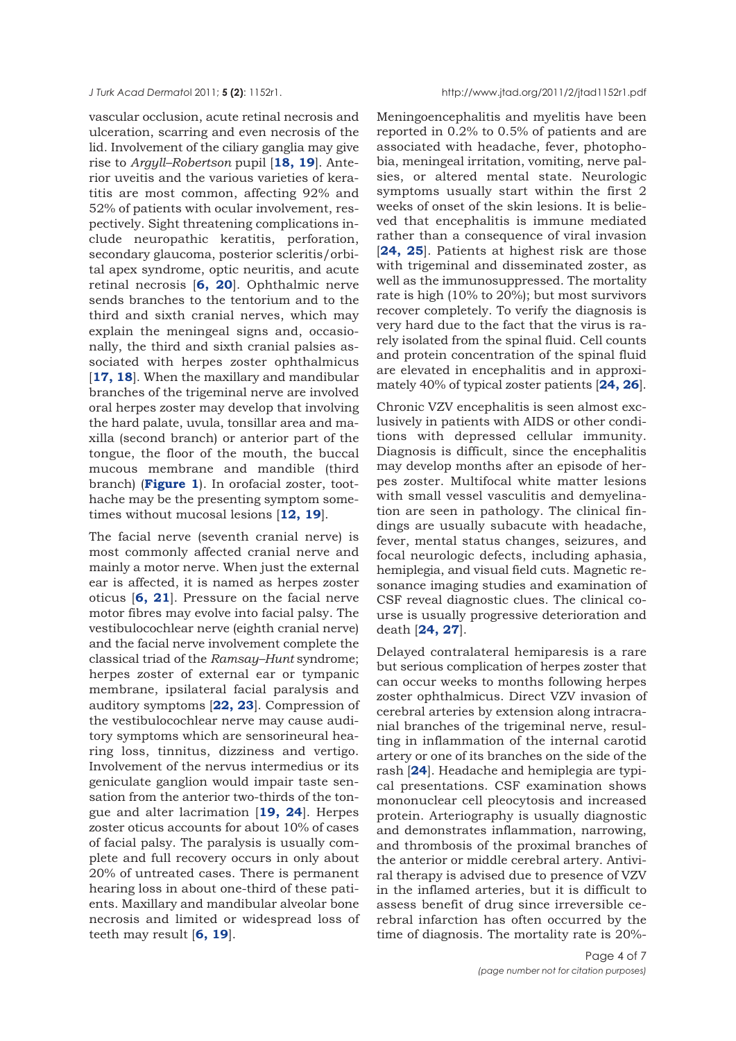vascular occlusion, acute retinal necrosis and ulceration, scarring and even necrosis of the lid. Involvement of the ciliary ganglia may give rise to *Argyll–Robertson* pupil [**18, 19**]. Anterior uveitis and the various varieties of keratitis are most common, affecting 92% and 52% of patients with ocular involvement, respectively. Sight threatening complications include neuropathic keratitis, perforation, secondary glaucoma, posterior scleritis/orbital apex syndrome, optic neuritis, and acute retinal necrosis [**6, 20**]. Ophthalmic nerve sends branches to the tentorium and to the third and sixth cranial nerves, which may explain the meningeal signs and, occasionally, the third and sixth cranial palsies associated with herpes zoster ophthalmicus [**17, 18**]. When the maxillary and mandibular branches of the trigeminal nerve are involved oral herpes zoster may develop that involving the hard palate, uvula, tonsillar area and maxilla (second branch) or anterior part of the tongue, the floor of the mouth, the buccal mucous membrane and mandible (third branch) (**Figure 1**). In orofacial zoster, toothache may be the presenting symptom sometimes without mucosal lesions [**12, 19**].

The facial nerve (seventh cranial nerve) is most commonly affected cranial nerve and mainly a motor nerve. When just the external ear is affected, it is named as herpes zoster oticus [**6, 21**]. Pressure on the facial nerve motor fibres may evolve into facial palsy. The vestibulocochlear nerve (eighth cranial nerve) and the facial nerve involvement complete the classical triad of the *Ramsay–Hunt* syndrome; herpes zoster of external ear or tympanic membrane, ipsilateral facial paralysis and auditory symptoms [**22, 23**]. Compression of the vestibulocochlear nerve may cause auditory symptoms which are sensorineural hearing loss, tinnitus, dizziness and vertigo. Involvement of the nervus intermedius or its geniculate ganglion would impair taste sensation from the anterior two-thirds of the tongue and alter lacrimation [**19, 24**]. Herpes zoster oticus accounts for about 10% of cases of facial palsy. The paralysis is usually complete and full recovery occurs in only about 20% of untreated cases. There is permanent hearing loss in about one-third of these patients. Maxillary and mandibular alveolar bone necrosis and limited or widespread loss of teeth may result [**6, 19**].

#### *J Turk Acad Dermato*l 2011; **5 (2)**: 1152r1. http://www.jtad.org/2011/2/jtad1152r1.pdf

Meningoencephalitis and myelitis have been reported in 0.2% to 0.5% of patients and are associated with headache, fever, photophobia, meningeal irritation, vomiting, nerve palsies, or altered mental state. Neurologic symptoms usually start within the first 2 weeks of onset of the skin lesions. It is believed that encephalitis is immune mediated rather than a consequence of viral invasion [24, 25]. Patients at highest risk are those with trigeminal and disseminated zoster, as well as the immunosuppressed. The mortality rate is high (10% to 20%); but most survivors recover completely. To verify the diagnosis is very hard due to the fact that the virus is rarely isolated from the spinal fluid. Cell counts and protein concentration of the spinal fluid are elevated in encephalitis and in approximately 40% of typical zoster patients [**24, 26**].

Chronic VZV encephalitis is seen almost exclusively in patients with AIDS or other conditions with depressed cellular immunity. Diagnosis is difficult, since the encephalitis may develop months after an episode of herpes zoster. Multifocal white matter lesions with small vessel vasculitis and demyelination are seen in pathology. The clinical findings are usually subacute with headache, fever, mental status changes, seizures, and focal neurologic defects, including aphasia, hemiplegia, and visual field cuts. Magnetic resonance imaging studies and examination of CSF reveal diagnostic clues. The clinical course is usually progressive deterioration and death [**24, 27**].

Delayed contralateral hemiparesis is a rare but serious complication of herpes zoster that can occur weeks to months following herpes zoster ophthalmicus. Direct VZV invasion of cerebral arteries by extension along intracranial branches of the trigeminal nerve, resulting in inflammation of the internal carotid artery or one of its branches on the side of the rash [**24**]. Headache and hemiplegia are typical presentations. CSF examination shows mononuclear cell pleocytosis and increased protein. Arteriography is usually diagnostic and demonstrates inflammation, narrowing, and thrombosis of the proximal branches of the anterior or middle cerebral artery. Antiviral therapy is advised due to presence of VZV in the inflamed arteries, but it is difficult to assess benefit of drug since irreversible cerebral infarction has often occurred by the time of diagnosis. The mortality rate is 20%-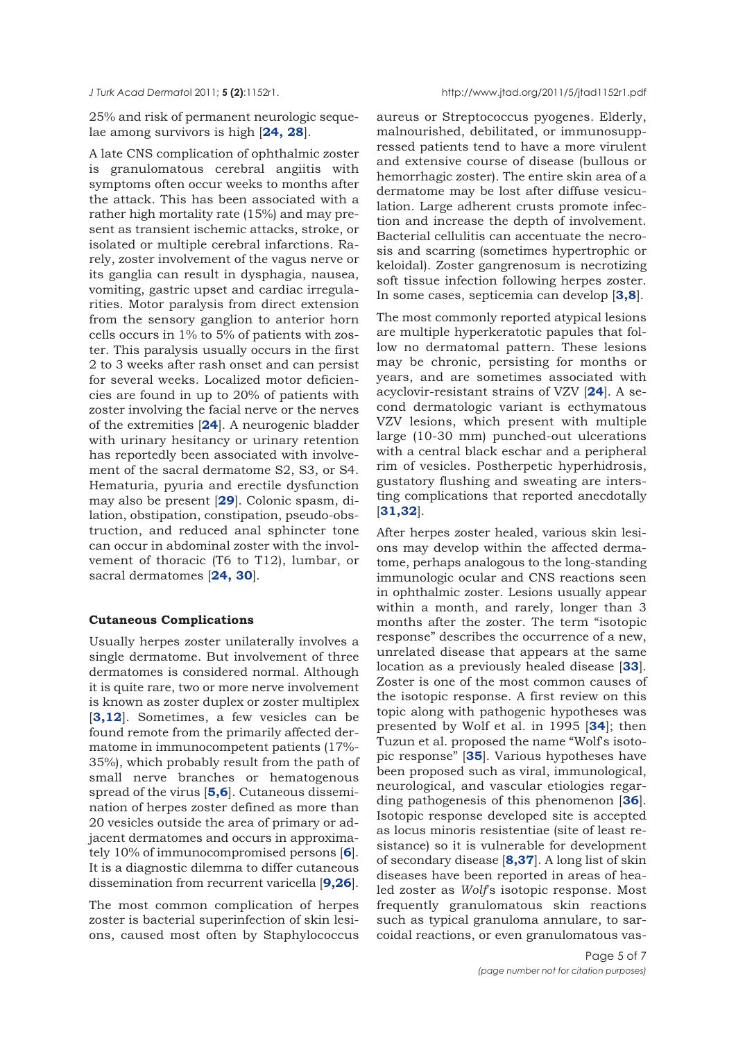25% and risk of permanent neurologic sequelae among survivors is high [**24, 28**].

A late CNS complication of ophthalmic zoster is granulomatous cerebral angiitis with symptoms often occur weeks to months after the attack. This has been associated with a rather high mortality rate (15%) and may present as transient ischemic attacks, stroke, or isolated or multiple cerebral infarctions. Rarely, zoster involvement of the vagus nerve or its ganglia can result in dysphagia, nausea, vomiting, gastric upset and cardiac irregularities. Motor paralysis from direct extension from the sensory ganglion to anterior horn cells occurs in 1% to 5% of patients with zoster. This paralysis usually occurs in the first 2 to 3 weeks after rash onset and can persist for several weeks. Localized motor deficiencies are found in up to 20% of patients with zoster involving the facial nerve or the nerves of the extremities [**24**]. A neurogenic bladder with urinary hesitancy or urinary retention has reportedly been associated with involvement of the sacral dermatome S2, S3, or S4. Hematuria, pyuria and erectile dysfunction may also be present [**29**]. Colonic spasm, dilation, obstipation, constipation, pseudo-obstruction, and reduced anal sphincter tone can occur in abdominal zoster with the involvement of thoracic (T6 to T12), lumbar, or sacral dermatomes [**24, 30**].

### **Cutaneous Complications**

Usually herpes zoster unilaterally involves a single dermatome. But involvement of three dermatomes is considered normal. Although it is quite rare, two or more nerve involvement is known as zoster duplex or zoster multiplex [**3,12**]. Sometimes, a few vesicles can be found remote from the primarily affected dermatome in immunocompetent patients (17%- 35%), which probably result from the path of small nerve branches or hematogenous spread of the virus [**5,6**]. Cutaneous dissemination of herpes zoster defined as more than 20 vesicles outside the area of primary or adjacent dermatomes and occurs in approximately 10% of immunocompromised persons [**6**]. It is a diagnostic dilemma to differ cutaneous dissemination from recurrent varicella [**9,26**].

The most common complication of herpes zoster is bacterial superinfection of skin lesions, caused most often by Staphylococcus

aureus or Streptococcus pyogenes. Elderly, malnourished, debilitated, or immunosuppressed patients tend to have a more virulent and extensive course of disease (bullous or hemorrhagic zoster). The entire skin area of a dermatome may be lost after diffuse vesiculation. Large adherent crusts promote infection and increase the depth of involvement. Bacterial cellulitis can accentuate the necrosis and scarring (sometimes hypertrophic or keloidal). Zoster gangrenosum is necrotizing soft tissue infection following herpes zoster. In some cases, septicemia can develop [**3,8**].

The most commonly reported atypical lesions are multiple hyperkeratotic papules that follow no dermatomal pattern. These lesions may be chronic, persisting for months or years, and are sometimes associated with acyclovir-resistant strains of VZV [**24**]. A second dermatologic variant is ecthymatous VZV lesions, which present with multiple large (10-30 mm) punched-out ulcerations with a central black eschar and a peripheral rim of vesicles. Postherpetic hyperhidrosis, gustatory flushing and sweating are intersting complications that reported anecdotally [**31,32**].

After herpes zoster healed, various skin lesions may develop within the affected dermatome, perhaps analogous to the long-standing immunologic ocular and CNS reactions seen in ophthalmic zoster. Lesions usually appear within a month, and rarely, longer than 3 months after the zoster. The term "isotopic response" describes the occurrence of a new, unrelated disease that appears at the same location as a previously healed disease [**33**]. Zoster is one of the most common causes of the isotopic response. A first review on this topic along with pathogenic hypotheses was presented by Wolf et al. in 1995 [**34**]; then Tuzun et al. proposed the name "Wolf's isotopic response" [**35**]. Various hypotheses have been proposed such as viral, immunological, neurological, and vascular etiologies regarding pathogenesis of this phenomenon [**36**]. Isotopic response developed site is accepted as locus minoris resistentiae (site of least resistance) so it is vulnerable for development of secondary disease [**8,37**]. A long list of skin diseases have been reported in areas of healed zoster as *Wolf*'s isotopic response. Most frequently granulomatous skin reactions such as typical granuloma annulare, to sarcoidal reactions, or even granulomatous vas-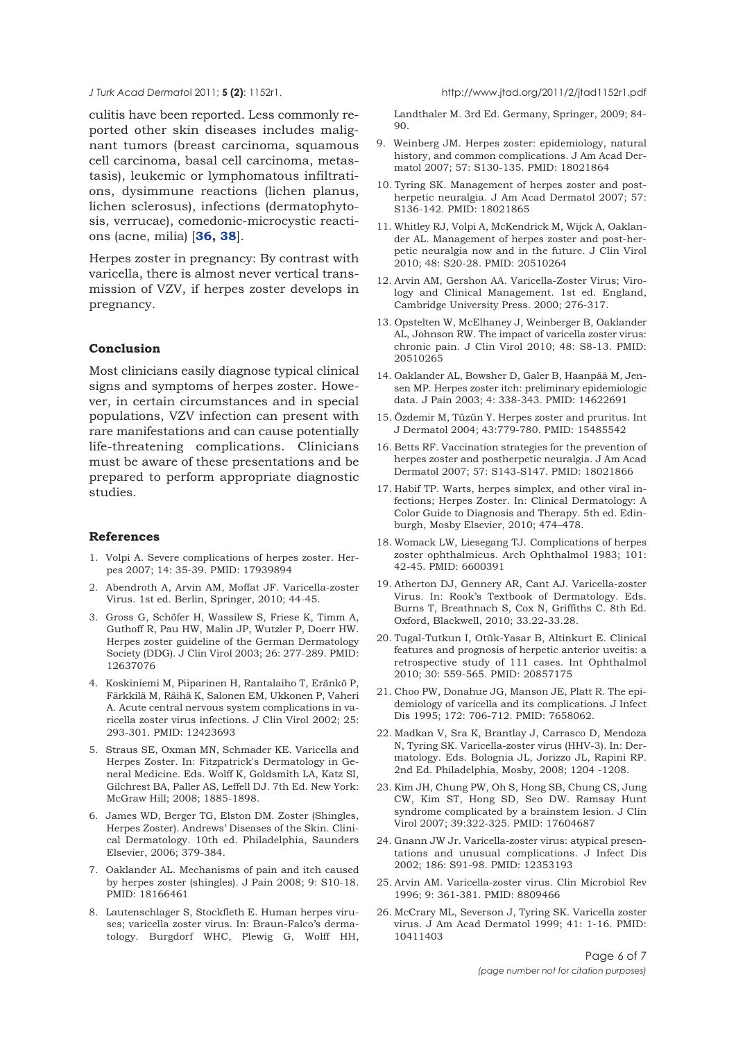### *J Turk Acad Dermato*l 2011; **5 (2)**: 1152r1. http://www.jtad.org/2011/2/jtad1152r1.pdf

culitis have been reported. Less commonly reported other skin diseases includes malignant tumors (breast carcinoma, squamous cell carcinoma, basal cell carcinoma, metastasis), leukemic or lymphomatous infiltrations, dysimmune reactions (lichen planus, lichen sclerosus), infections (dermatophytosis, verrucae), comedonic-microcystic reactions (acne, milia) [**36, 38**].

Herpes zoster in pregnancy: By contrast with varicella, there is almost never vertical transmission of VZV, if herpes zoster develops in pregnancy.

# **Conclusion**

Most clinicians easily diagnose typical clinical signs and symptoms of herpes zoster. However, in certain circumstances and in special populations, VZV infection can present with rare manifestations and can cause potentially life-threatening complications. Clinicians must be aware of these presentations and be prepared to perform appropriate diagnostic studies.

## **References**

- 1. Volpi A. Severe complications of herpes zoster. Herpes 2007; 14: 35-39. PMID: 17939894
- 2. Abendroth A, Arvin AM, Moffat JF. Varicella-zoster Virus. 1st ed. Berlin, Springer, 2010; 44-45.
- 3. Gross G, Schöfer H, Wassilew S, Friese K, Timm A, Guthoff R, Pau HW, Malin JP, Wutzler P, Doerr HW. Herpes zoster guideline of the German Dermatology Society (DDG). J Clin Virol 2003; 26: 277-289. PMID: 12637076
- 4. Koskiniemi M, Piiparinen H, Rantalaiho T, Eränkö P, Färkkilä M, Räihä K, Salonen EM, Ukkonen P, Vaheri A. Acute central nervous system complications in varicella zoster virus infections. J Clin Virol 2002; 25: 293-301. PMID: 12423693
- 5. Straus SE, Oxman MN, Schmader KE. Varicella and Herpes Zoster. In: Fitzpatrick's Dermatology in General Medicine. Eds. Wolff K, Goldsmith LA, Katz SI, Gilchrest BA, Paller AS, Leffell DJ. 7th Ed. New York: McGraw Hill; 2008; 1885-1898.
- 6. James WD, Berger TG, Elston DM. Zoster (Shingles, Herpes Zoster). Andrews' Diseases of the Skin. Clinical Dermatology. 10th ed. Philadelphia, Saunders Elsevier, 2006; 379-384.
- 7. Oaklander AL. Mechanisms of pain and itch caused by herpes zoster (shingles). J Pain 2008; 9: S10-18. PMID: 18166461
- 8. Lautenschlager S, Stockfleth E. Human herpes viruses; varicella zoster virus. In: Braun-Falco's dermatology. Burgdorf WHC, Plewig G, Wolff HH,

Landthaler M. 3rd Ed. Germany, Springer, 2009; 84- 90.

- 9. Weinberg JM. Herpes zoster: epidemiology, natural history, and common complications. J Am Acad Dermatol 2007; 57: S130-135. PMID: 18021864
- 10. Tyring SK. Management of herpes zoster and postherpetic neuralgia. J Am Acad Dermatol 2007; 57: S136-142. PMID: 18021865
- 11. Whitley RJ, Volpi A, McKendrick M, Wijck A, Oaklander AL. Management of herpes zoster and post-herpetic neuralgia now and in the future. J Clin Virol 2010; 48: S20-28. PMID: 20510264
- 12. Arvin AM, Gershon AA. Varicella-Zoster Virus; Virology and Clinical Management. 1st ed. England, Cambridge University Press. 2000; 276-317.
- 13. Opstelten W, McElhaney J, Weinberger B, Oaklander AL, Johnson RW. The impact of varicella zoster virus: chronic pain. J Clin Virol 2010; 48: S8-13. PMID: 20510265
- 14. Oaklander AL, Bowsher D, Galer B, Haanpää M, Jensen MP. Herpes zoster itch: preliminary epidemiologic data. J Pain 2003; 4: 338-343. PMID: 14622691
- 15. Özdemir M, Tüzün Y. Herpes zoster and pruritus. Int J Dermatol 2004; 43:779-780. PMID: 15485542
- 16. Betts RF. Vaccination strategies for the prevention of herpes zoster and postherpetic neuralgia. J Am Acad Dermatol 2007; 57: S143-S147. PMID: 18021866
- 17. Habif TP. Warts, herpes simplex, and other viral infections; Herpes Zoster. In: Clinical Dermatology: A Color Guide to Diagnosis and Therapy. 5th ed. Edinburgh, Mosby Elsevier, 2010; 474–478.
- 18. Womack LW, Liesegang TJ. Complications of herpes zoster ophthalmicus. Arch Ophthalmol 1983; 101: 42-45. PMID: 6600391
- 19. Atherton DJ, Gennery AR, Cant AJ. Varicella-zoster Virus. In: Rook's Textbook of Dermatology. Eds. Burns T, Breathnach S, Cox N, Griffiths C. 8th Ed. Oxford, Blackwell, 2010; 33.22-33.28.
- 20. Tugal-Tutkun I, Otük-Yasar B, Altinkurt E. Clinical features and prognosis of herpetic anterior uveitis: a retrospective study of 111 cases. Int Ophthalmol 2010; 30: 559-565. PMID: 20857175
- 21. Choo PW, Donahue JG, Manson JE, Platt R. The epidemiology of varicella and its complications. J Infect Dis 1995; 172: 706-712. PMID: 7658062.
- 22. Madkan V, Sra K, Brantlay J, Carrasco D, Mendoza N, Tyring SK. Varicella-zoster virus (HHV-3). In: Dermatology. Eds. Bolognia JL, Jorizzo JL, Rapini RP. 2nd Ed. Philadelphia, Mosby, 2008; 1204 -1208.
- 23. Kim JH, Chung PW, Oh S, Hong SB, Chung CS, Jung CW, Kim ST, Hong SD, Seo DW. Ramsay Hunt syndrome complicated by a brainstem lesion. J Clin Virol 2007; 39:322-325. PMID: 17604687
- 24. Gnann JW Jr. Varicella-zoster virus: atypical presentations and unusual complications. J Infect Dis 2002; 186: S91-98. PMID: 12353193
- 25. Arvin AM. Varicella-zoster virus. Clin Microbiol Rev 1996; 9: 361-381. PMID: 8809466
- 26. McCrary ML, Severson J, Tyring SK. Varicella zoster virus. J Am Acad Dermatol 1999; 41: 1-16. PMID: 10411403